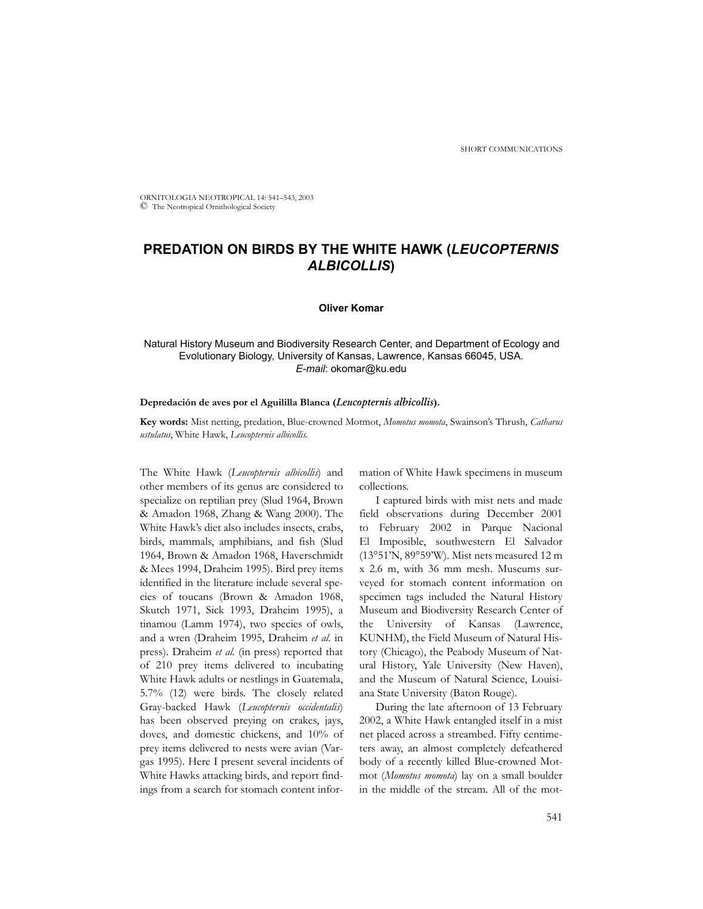ORNITOLOGIA NEOTROPICAL 14: 541–543, 2003 © The Neotropical Ornithological Society

# **PREDATION ON BIRDS BY THE WHITE HAWK (***LEUCOPTERNIS ALBICOLLIS***)**

# **Oliver Komar**

# Natural History Museum and Biodiversity Research Center, and Department of Ecology and Evolutionary Biology, University of Kansas, Lawrence, Kansas 66045, USA. *E-mail*: okomar@ku.edu

#### **Depredación de aves por el Aguililla Blanca (***Leucopternis albicollis***).**

**Key words:** Mist netting, predation, Blue-crowned Motmot, *Momotus momota*, Swainson's Thrush, *Catharus ustulatus*, White Hawk, *Leucopternis albicollis*.

The White Hawk (*Leucopternis albicollis*) and other members of its genus are considered to specialize on reptilian prey (Slud 1964, Brown & Amadon 1968, Zhang & Wang 2000). The White Hawk's diet also includes insects, crabs, birds, mammals, amphibians, and fish (Slud 1964, Brown & Amadon 1968, Haverschmidt & Mees 1994, Draheim 1995). Bird prey items identified in the literature include several species of toucans (Brown & Amadon 1968, Skutch 1971, Sick 1993, Draheim 1995), a tinamou (Lamm 1974), two species of owls, and a wren (Draheim 1995, Draheim *et al.* in press). Draheim *et al.* (in press) reported that of 210 prey items delivered to incubating White Hawk adults or nestlings in Guatemala, 5.7% (12) were birds. The closely related Gray-backed Hawk (*Leucopternis occidentalis*) has been observed preying on crakes, jays, doves, and domestic chickens, and 10% of prey items delivered to nests were avian (Vargas 1995). Here I present several incidents of White Hawks attacking birds, and report findings from a search for stomach content infor-

mation of White Hawk specimens in museum collections.

I captured birds with mist nets and made field observations during December 2001 to February 2002 in Parque Nacional El Imposible, southwestern El Salvador (13°51'N, 89°59'W). Mist nets measured 12 m x 2.6 m, with 36 mm mesh. Museums surveyed for stomach content information on specimen tags included the Natural History Museum and Biodiversity Research Center of the University of Kansas (Lawrence, KUNHM), the Field Museum of Natural History (Chicago), the Peabody Museum of Natural History, Yale University (New Haven), and the Museum of Natural Science, Louisiana State University (Baton Rouge).

During the late afternoon of 13 February 2002, a White Hawk entangled itself in a mist net placed across a streambed. Fifty centimeters away, an almost completely defeathered body of a recently killed Blue-crowned Motmot (*Momotus momota*) lay on a small boulder in the middle of the stream. All of the mot-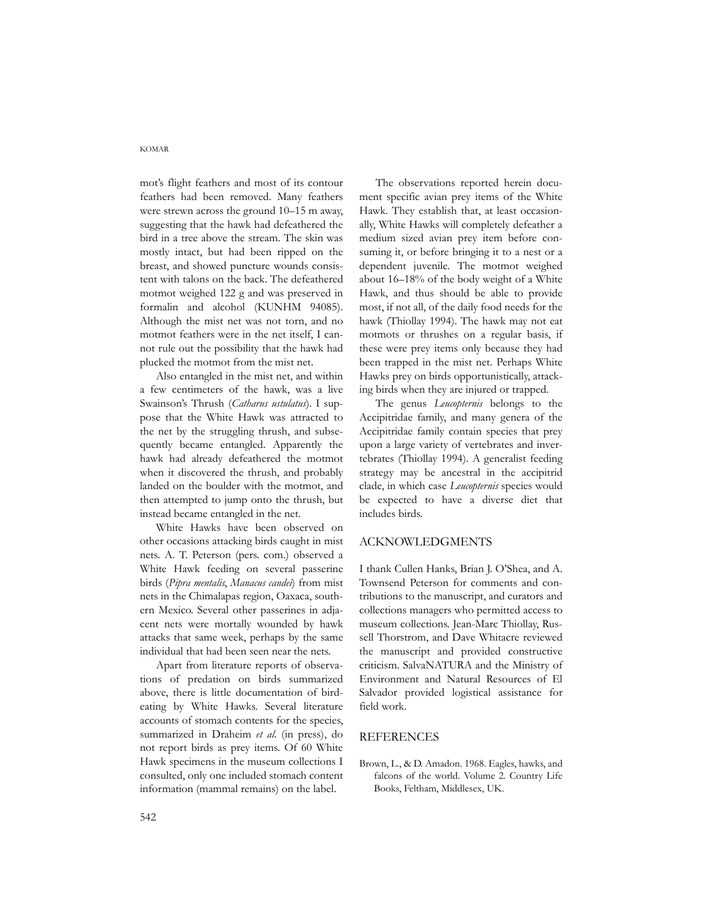#### KOMAR

mot's flight feathers and most of its contour feathers had been removed. Many feathers were strewn across the ground 10–15 m away, suggesting that the hawk had defeathered the bird in a tree above the stream. The skin was mostly intact, but had been ripped on the breast, and showed puncture wounds consistent with talons on the back. The defeathered motmot weighed 122 g and was preserved in formalin and alcohol (KUNHM 94085). Although the mist net was not torn, and no motmot feathers were in the net itself, I cannot rule out the possibility that the hawk had plucked the motmot from the mist net.

Also entangled in the mist net, and within a few centimeters of the hawk, was a live Swainson's Thrush (*Catharus ustulatus*). I suppose that the White Hawk was attracted to the net by the struggling thrush, and subsequently became entangled. Apparently the hawk had already defeathered the motmot when it discovered the thrush, and probably landed on the boulder with the motmot, and then attempted to jump onto the thrush, but instead became entangled in the net.

White Hawks have been observed on other occasions attacking birds caught in mist nets. A. T. Peterson (pers. com.) observed a White Hawk feeding on several passerine birds (*Pipra mentalis*, *Manacus candei*) from mist nets in the Chimalapas region, Oaxaca, southern Mexico. Several other passerines in adjacent nets were mortally wounded by hawk attacks that same week, perhaps by the same individual that had been seen near the nets.

Apart from literature reports of observations of predation on birds summarized above, there is little documentation of birdeating by White Hawks. Several literature accounts of stomach contents for the species, summarized in Draheim *et al*. (in press), do not report birds as prey items. Of 60 White Hawk specimens in the museum collections I consulted, only one included stomach content information (mammal remains) on the label.

The observations reported herein document specific avian prey items of the White Hawk. They establish that, at least occasionally, White Hawks will completely defeather a medium sized avian prey item before consuming it, or before bringing it to a nest or a dependent juvenile. The motmot weighed about 16–18% of the body weight of a White Hawk, and thus should be able to provide most, if not all, of the daily food needs for the hawk (Thiollay 1994). The hawk may not eat motmots or thrushes on a regular basis, if these were prey items only because they had been trapped in the mist net. Perhaps White Hawks prey on birds opportunistically, attacking birds when they are injured or trapped.

The genus *Leucopternis* belongs to the Accipitridae family, and many genera of the Accipitridae family contain species that prey upon a large variety of vertebrates and invertebrates (Thiollay 1994). A generalist feeding strategy may be ancestral in the accipitrid clade, in which case *Leucopternis* species would be expected to have a diverse diet that includes birds.

## ACKNOWLEDGMENTS

I thank Cullen Hanks, Brian J. O'Shea, and A. Townsend Peterson for comments and contributions to the manuscript, and curators and collections managers who permitted access to museum collections. Jean-Marc Thiollay, Russell Thorstrom, and Dave Whitacre reviewed the manuscript and provided constructive criticism. SalvaNATURA and the Ministry of Environment and Natural Resources of El Salvador provided logistical assistance for field work.

### **REFERENCES**

Brown, L., & D. Amadon. 1968. Eagles, hawks, and falcons of the world. Volume 2. Country Life Books, Feltham, Middlesex, UK.